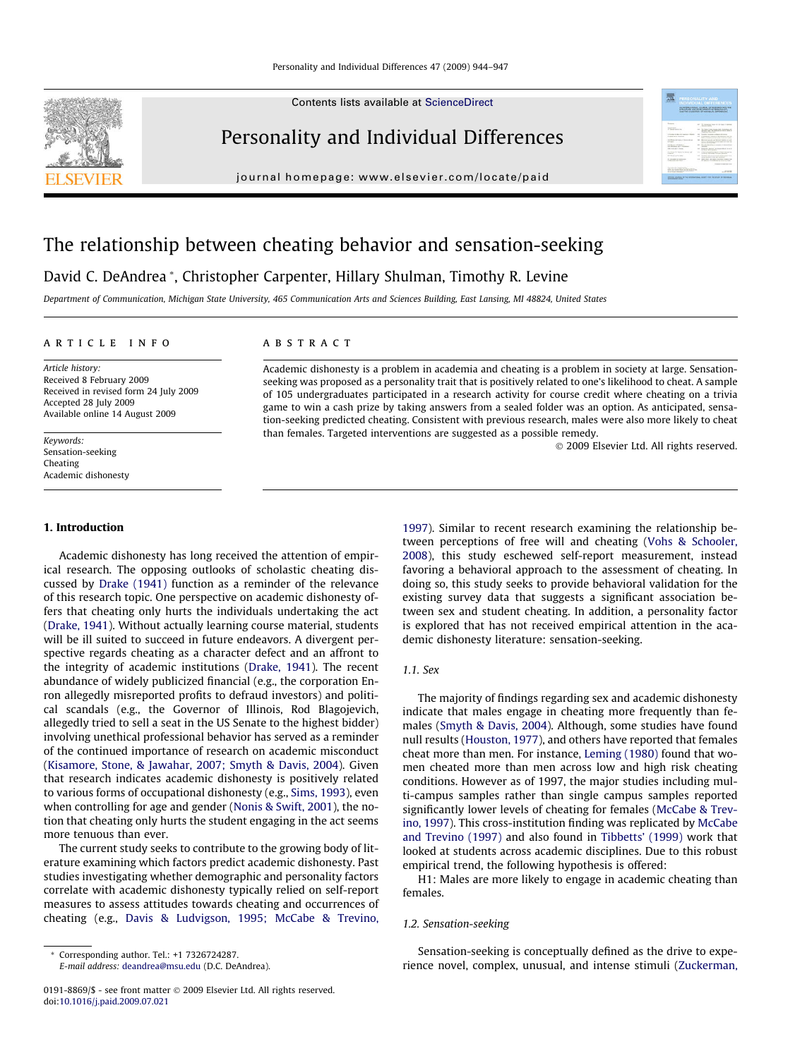Contents lists available at [ScienceDirect](http://www.sciencedirect.com/science/journal/01918869)



Personality and Individual Differences

journal homepage: [www.elsevier.com/locate/paid](http://www.elsevier.com/locate/paid)



# The relationship between cheating behavior and sensation-seeking

# David C. DeAndrea \*, Christopher Carpenter, Hillary Shulman, Timothy R. Levine

Department of Communication, Michigan State University, 465 Communication Arts and Sciences Building, East Lansing, MI 48824, United States

#### article info

Article history: Received 8 February 2009 Received in revised form 24 July 2009 Accepted 28 July 2009 Available online 14 August 2009

Keywords: Sensation-seeking Cheating Academic dishonesty

#### 1. Introduction

Academic dishonesty has long received the attention of empirical research. The opposing outlooks of scholastic cheating discussed by [Drake \(1941\)](#page--1-0) function as a reminder of the relevance of this research topic. One perspective on academic dishonesty offers that cheating only hurts the individuals undertaking the act ([Drake, 1941](#page--1-0)). Without actually learning course material, students will be ill suited to succeed in future endeavors. A divergent perspective regards cheating as a character defect and an affront to the integrity of academic institutions [\(Drake, 1941](#page--1-0)). The recent abundance of widely publicized financial (e.g., the corporation Enron allegedly misreported profits to defraud investors) and political scandals (e.g., the Governor of Illinois, Rod Blagojevich, allegedly tried to sell a seat in the US Senate to the highest bidder) involving unethical professional behavior has served as a reminder of the continued importance of research on academic misconduct ([Kisamore, Stone, & Jawahar, 2007; Smyth & Davis, 2004\)](#page--1-0). Given that research indicates academic dishonesty is positively related to various forms of occupational dishonesty (e.g., [Sims, 1993](#page--1-0)), even when controlling for age and gender [\(Nonis & Swift, 2001](#page--1-0)), the notion that cheating only hurts the student engaging in the act seems more tenuous than ever.

The current study seeks to contribute to the growing body of literature examining which factors predict academic dishonesty. Past studies investigating whether demographic and personality factors correlate with academic dishonesty typically relied on self-report measures to assess attitudes towards cheating and occurrences of cheating (e.g., [Davis & Ludvigson, 1995; McCabe & Trevino,](#page--1-0)

E-mail address: [deandrea@msu.edu](mailto:deandrea@msu.edu) (D.C. DeAndrea).

# **ABSTRACT**

Academic dishonesty is a problem in academia and cheating is a problem in society at large. Sensationseeking was proposed as a personality trait that is positively related to one's likelihood to cheat. A sample of 105 undergraduates participated in a research activity for course credit where cheating on a trivia game to win a cash prize by taking answers from a sealed folder was an option. As anticipated, sensation-seeking predicted cheating. Consistent with previous research, males were also more likely to cheat than females. Targeted interventions are suggested as a possible remedy.

- 2009 Elsevier Ltd. All rights reserved.

[1997\)](#page--1-0). Similar to recent research examining the relationship between perceptions of free will and cheating [\(Vohs & Schooler,](#page--1-0) [2008\)](#page--1-0), this study eschewed self-report measurement, instead favoring a behavioral approach to the assessment of cheating. In doing so, this study seeks to provide behavioral validation for the existing survey data that suggests a significant association between sex and student cheating. In addition, a personality factor is explored that has not received empirical attention in the academic dishonesty literature: sensation-seeking.

### 1.1. Sex

The majority of findings regarding sex and academic dishonesty indicate that males engage in cheating more frequently than females ([Smyth & Davis, 2004\)](#page--1-0). Although, some studies have found null results ([Houston, 1977\)](#page--1-0), and others have reported that females cheat more than men. For instance, [Leming \(1980\)](#page--1-0) found that women cheated more than men across low and high risk cheating conditions. However as of 1997, the major studies including multi-campus samples rather than single campus samples reported significantly lower levels of cheating for females [\(McCabe & Trev](#page--1-0)[ino, 1997\)](#page--1-0). This cross-institution finding was replicated by [McCabe](#page--1-0) [and Trevino \(1997\)](#page--1-0) and also found in [Tibbetts' \(1999\)](#page--1-0) work that looked at students across academic disciplines. Due to this robust empirical trend, the following hypothesis is offered:

H1: Males are more likely to engage in academic cheating than females.

#### 1.2. Sensation-seeking

Sensation-seeking is conceptually defined as the drive to experience novel, complex, unusual, and intense stimuli ([Zuckerman,](#page--1-0)

<sup>\*</sup> Corresponding author. Tel.: +1 7326724287.

<sup>0191-8869/\$ -</sup> see front matter © 2009 Elsevier Ltd. All rights reserved. doi:[10.1016/j.paid.2009.07.021](http://dx.doi.org/10.1016/j.paid.2009.07.021)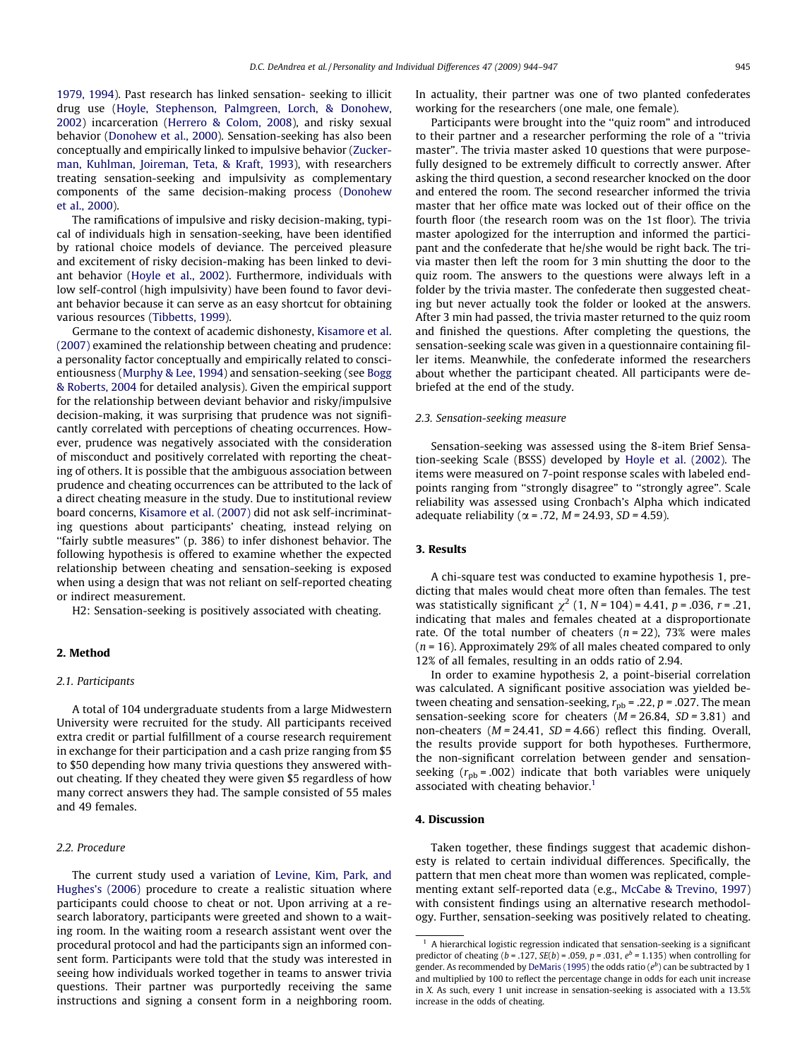[1979, 1994\)](#page--1-0). Past research has linked sensation- seeking to illicit drug use [\(Hoyle, Stephenson, Palmgreen, Lorch, & Donohew,](#page--1-0) [2002](#page--1-0)) incarceration ([Herrero & Colom, 2008\)](#page--1-0), and risky sexual behavior [\(Donohew et al., 2000\)](#page--1-0). Sensation-seeking has also been conceptually and empirically linked to impulsive behavior ([Zucker](#page--1-0)[man, Kuhlman, Joireman, Teta, & Kraft, 1993](#page--1-0)), with researchers treating sensation-seeking and impulsivity as complementary components of the same decision-making process [\(Donohew](#page--1-0) [et al., 2000](#page--1-0)).

The ramifications of impulsive and risky decision-making, typical of individuals high in sensation-seeking, have been identified by rational choice models of deviance. The perceived pleasure and excitement of risky decision-making has been linked to deviant behavior [\(Hoyle et al., 2002](#page--1-0)). Furthermore, individuals with low self-control (high impulsivity) have been found to favor deviant behavior because it can serve as an easy shortcut for obtaining various resources [\(Tibbetts, 1999\)](#page--1-0).

Germane to the context of academic dishonesty, [Kisamore et al.](#page--1-0) [\(2007\)](#page--1-0) examined the relationship between cheating and prudence: a personality factor conceptually and empirically related to conscientiousness ([Murphy & Lee, 1994](#page--1-0)) and sensation-seeking (see [Bogg](#page--1-0) [& Roberts, 2004](#page--1-0) for detailed analysis). Given the empirical support for the relationship between deviant behavior and risky/impulsive decision-making, it was surprising that prudence was not significantly correlated with perceptions of cheating occurrences. However, prudence was negatively associated with the consideration of misconduct and positively correlated with reporting the cheating of others. It is possible that the ambiguous association between prudence and cheating occurrences can be attributed to the lack of a direct cheating measure in the study. Due to institutional review board concerns, [Kisamore et al. \(2007\)](#page--1-0) did not ask self-incriminating questions about participants' cheating, instead relying on ''fairly subtle measures" (p. 386) to infer dishonest behavior. The following hypothesis is offered to examine whether the expected relationship between cheating and sensation-seeking is exposed when using a design that was not reliant on self-reported cheating or indirect measurement.

H2: Sensation-seeking is positively associated with cheating.

#### 2. Method

#### 2.1. Participants

A total of 104 undergraduate students from a large Midwestern University were recruited for the study. All participants received extra credit or partial fulfillment of a course research requirement in exchange for their participation and a cash prize ranging from \$5 to \$50 depending how many trivia questions they answered without cheating. If they cheated they were given \$5 regardless of how many correct answers they had. The sample consisted of 55 males and 49 females.

## 2.2. Procedure

The current study used a variation of [Levine, Kim, Park, and](#page--1-0) [Hughes's \(2006\)](#page--1-0) procedure to create a realistic situation where participants could choose to cheat or not. Upon arriving at a research laboratory, participants were greeted and shown to a waiting room. In the waiting room a research assistant went over the procedural protocol and had the participants sign an informed consent form. Participants were told that the study was interested in seeing how individuals worked together in teams to answer trivia questions. Their partner was purportedly receiving the same instructions and signing a consent form in a neighboring room. In actuality, their partner was one of two planted confederates working for the researchers (one male, one female).

Participants were brought into the ''quiz room" and introduced to their partner and a researcher performing the role of a ''trivia master". The trivia master asked 10 questions that were purposefully designed to be extremely difficult to correctly answer. After asking the third question, a second researcher knocked on the door and entered the room. The second researcher informed the trivia master that her office mate was locked out of their office on the fourth floor (the research room was on the 1st floor). The trivia master apologized for the interruption and informed the participant and the confederate that he/she would be right back. The trivia master then left the room for 3 min shutting the door to the quiz room. The answers to the questions were always left in a folder by the trivia master. The confederate then suggested cheating but never actually took the folder or looked at the answers. After 3 min had passed, the trivia master returned to the quiz room and finished the questions. After completing the questions, the sensation-seeking scale was given in a questionnaire containing filler items. Meanwhile, the confederate informed the researchers about whether the participant cheated. All participants were debriefed at the end of the study.

#### 2.3. Sensation-seeking measure

Sensation-seeking was assessed using the 8-item Brief Sensation-seeking Scale (BSSS) developed by [Hoyle et al. \(2002\).](#page--1-0) The items were measured on 7-point response scales with labeled endpoints ranging from ''strongly disagree" to ''strongly agree". Scale reliability was assessed using Cronbach's Alpha which indicated adequate reliability ( $\alpha$  = .72, *M* = 24.93, *SD* = 4.59).

#### 3. Results

A chi-square test was conducted to examine hypothesis 1, predicting that males would cheat more often than females. The test was statistically significant  $\chi^2$  (1, N = 104) = 4.41, p = .036, r = .21, indicating that males and females cheated at a disproportionate rate. Of the total number of cheaters ( $n = 22$ ), 73% were males  $(n = 16)$ . Approximately 29% of all males cheated compared to only 12% of all females, resulting in an odds ratio of 2.94.

In order to examine hypothesis 2, a point-biserial correlation was calculated. A significant positive association was yielded between cheating and sensation-seeking,  $r_{pb}$  = .22,  $p$  = .027. The mean sensation-seeking score for cheaters  $(M = 26.84, SD = 3.81)$  and non-cheaters  $(M = 24.41, SD = 4.66)$  reflect this finding. Overall, the results provide support for both hypotheses. Furthermore, the non-significant correlation between gender and sensationseeking  $(r_{\text{pb}} = .002)$  indicate that both variables were uniquely associated with cheating behavior.<sup>1</sup>

### 4. Discussion

Taken together, these findings suggest that academic dishonesty is related to certain individual differences. Specifically, the pattern that men cheat more than women was replicated, complementing extant self-reported data (e.g., [McCabe & Trevino, 1997\)](#page--1-0) with consistent findings using an alternative research methodology. Further, sensation-seeking was positively related to cheating.

<sup>1</sup> A hierarchical logistic regression indicated that sensation-seeking is a significant predictor of cheating ( $b = .127$ ,  $SE(b) = .059$ ,  $p = .031$ ,  $e^b = 1.135$ ) when controlling for gender. As recommended by [DeMaris \(1995\)](#page--1-0) the odds ratio ( $e^b$ ) can be subtracted by 1 and multiplied by 100 to reflect the percentage change in odds for each unit increase in X. As such, every 1 unit increase in sensation-seeking is associated with a 13.5% increase in the odds of cheating.